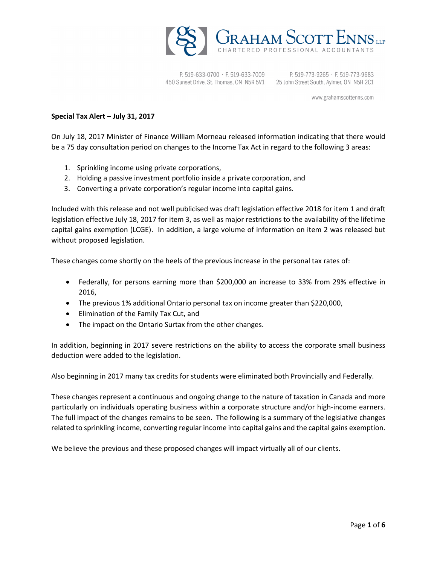

P. 519-633-0700 · F. 519-633-7009 450 Sunset Drive, St. Thomas, ON N5R 5V1 25 John Street South, Aylmer, ON N5H 2C1

P. 519-773-9265 · F. 519-773-9683

www.grahamscottenns.com

### **Special Tax Alert – July 31, 2017**

On July 18, 2017 Minister of Finance William Morneau released information indicating that there would be a 75 day consultation period on changes to the Income Tax Act in regard to the following 3 areas:

- 1. Sprinkling income using private corporations,
- 2. Holding a passive investment portfolio inside a private corporation, and
- 3. Converting a private corporation's regular income into capital gains.

Included with this release and not well publicised was draft legislation effective 2018 for item 1 and draft legislation effective July 18, 2017 for item 3, as well as major restrictions to the availability of the lifetime capital gains exemption (LCGE). In addition, a large volume of information on item 2 was released but without proposed legislation.

These changes come shortly on the heels of the previous increase in the personal tax rates of:

- Federally, for persons earning more than \$200,000 an increase to 33% from 29% effective in 2016,
- The previous 1% additional Ontario personal tax on income greater than \$220,000,
- Elimination of the Family Tax Cut, and
- The impact on the Ontario Surtax from the other changes.

In addition, beginning in 2017 severe restrictions on the ability to access the corporate small business deduction were added to the legislation.

Also beginning in 2017 many tax credits for students were eliminated both Provincially and Federally.

These changes represent a continuous and ongoing change to the nature of taxation in Canada and more particularly on individuals operating business within a corporate structure and/or high-income earners. The full impact of the changes remains to be seen. The following is a summary of the legislative changes related to sprinkling income, converting regular income into capital gains and the capital gains exemption.

We believe the previous and these proposed changes will impact virtually all of our clients.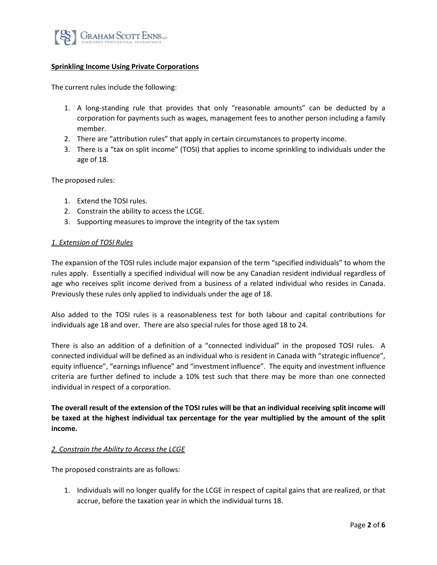

# **Sprinkling Income Using Private Corporations**

The current rules include the following:

- 1. A long-standing rule that provides that only "reasonable amounts" can be deducted by a corporation for payments such as wages, management fees to another person including a family member.
- 2. There are "attribution rules" that apply in certain circumstances to property income.
- 3. There is a "tax on split income" (TOSI) that applies to income sprinkling to individuals under the age of 18.

The proposed rules:

- 1. Extend the TOSI rules.
- 2. Constrain the ability to access the LCGE.
- 3. Supporting measures to improve the integrity of the tax system

#### *1. Extension of TOSI Rules*

The expansion of the TOSI rules include major expansion of the term "specified individuals" to whom the rules apply. Essentially a specified individual will now be any Canadian resident individual regardless of age who receives split income derived from a business of a related individual who resides in Canada. Previously these rules only applied to individuals under the age of 18.

Also added to the TOSI rules is a reasonableness test for both labour and capital contributions for individuals age 18 and over. There are also special rules for those aged 18 to 24.

There is also an addition of a definition of a "connected individual" in the proposed TOSI rules. A connected individual will be defined as an individual who is resident in Canada with "strategic influence", equity influence", "earnings influence" and "investment influence". The equity and investment influence criteria are further defined to include a 10% test such that there may be more than one connected individual in respect of a corporation.

**The overall result of the extension of the TOSI rules will be that an individual receiving split income will be taxed at the highest individual tax percentage for the year multiplied by the amount of the split income.**

#### *2. Constrain the Ability to Access the LCGE*

The proposed constraints are as follows:

1. Individuals will no longer qualify for the LCGE in respect of capital gains that are realized, or that accrue, before the taxation year in which the individual turns 18.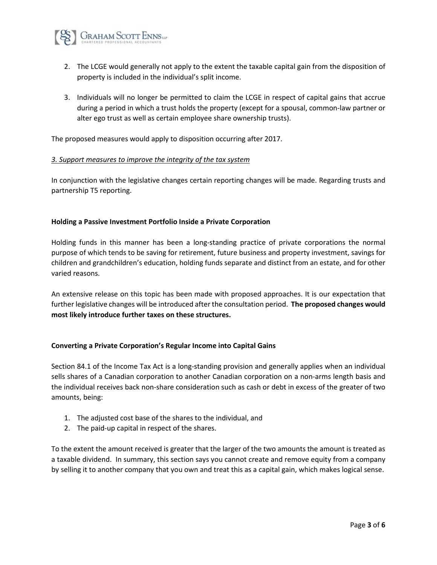

- 2. The LCGE would generally not apply to the extent the taxable capital gain from the disposition of property is included in the individual's split income.
- 3. Individuals will no longer be permitted to claim the LCGE in respect of capital gains that accrue during a period in which a trust holds the property (except for a spousal, common-law partner or alter ego trust as well as certain employee share ownership trusts).

The proposed measures would apply to disposition occurring after 2017.

#### *3. Support measures to improve the integrity of the tax system*

In conjunction with the legislative changes certain reporting changes will be made. Regarding trusts and partnership T5 reporting.

# **Holding a Passive Investment Portfolio Inside a Private Corporation**

Holding funds in this manner has been a long-standing practice of private corporations the normal purpose of which tends to be saving for retirement, future business and property investment, savings for children and grandchildren's education, holding funds separate and distinct from an estate, and for other varied reasons.

An extensive release on this topic has been made with proposed approaches. It is our expectation that further legislative changes will be introduced after the consultation period. **The proposed changes would most likely introduce further taxes on these structures.**

#### **Converting a Private Corporation's Regular Income into Capital Gains**

Section 84.1 of the Income Tax Act is a long-standing provision and generally applies when an individual sells shares of a Canadian corporation to another Canadian corporation on a non-arms length basis and the individual receives back non-share consideration such as cash or debt in excess of the greater of two amounts, being:

- 1. The adjusted cost base of the shares to the individual, and
- 2. The paid-up capital in respect of the shares.

To the extent the amount received is greater that the larger of the two amounts the amount is treated as a taxable dividend. In summary, this section says you cannot create and remove equity from a company by selling it to another company that you own and treat this as a capital gain, which makes logical sense.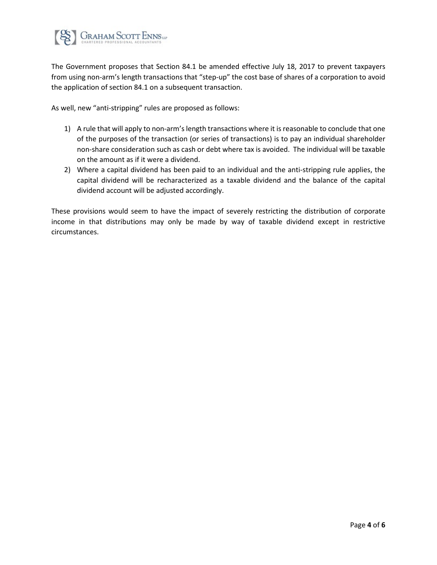

The Government proposes that Section 84.1 be amended effective July 18, 2017 to prevent taxpayers from using non-arm's length transactions that "step-up" the cost base of shares of a corporation to avoid the application of section 84.1 on a subsequent transaction.

As well, new "anti-stripping" rules are proposed as follows:

- 1) A rule that will apply to non-arm's length transactions where it is reasonable to conclude that one of the purposes of the transaction (or series of transactions) is to pay an individual shareholder non-share consideration such as cash or debt where tax is avoided. The individual will be taxable on the amount as if it were a dividend.
- 2) Where a capital dividend has been paid to an individual and the anti-stripping rule applies, the capital dividend will be recharacterized as a taxable dividend and the balance of the capital dividend account will be adjusted accordingly.

These provisions would seem to have the impact of severely restricting the distribution of corporate income in that distributions may only be made by way of taxable dividend except in restrictive circumstances.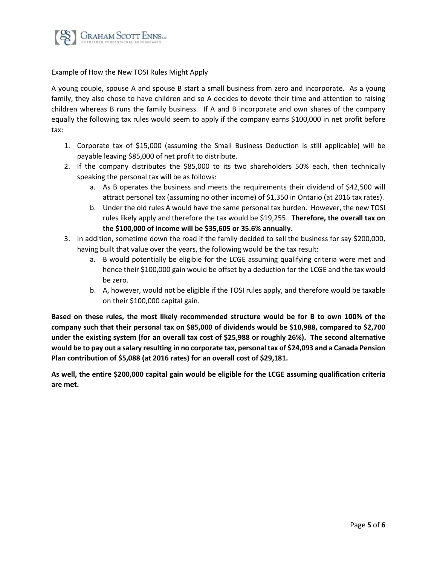

# Example of How the New TOSI Rules Might Apply

A young couple, spouse A and spouse B start a small business from zero and incorporate. As a young family, they also chose to have children and so A decides to devote their time and attention to raising children whereas B runs the family business. If A and B incorporate and own shares of the company equally the following tax rules would seem to apply if the company earns \$100,000 in net profit before tax:

- 1. Corporate tax of \$15,000 (assuming the Small Business Deduction is still applicable) will be payable leaving \$85,000 of net profit to distribute.
- 2. If the company distributes the \$85,000 to its two shareholders 50% each, then technically speaking the personal tax will be as follows:
	- a. As B operates the business and meets the requirements their dividend of \$42,500 will attract personal tax (assuming no other income) of \$1,350 in Ontario (at 2016 tax rates).
	- b. Under the old rules A would have the same personal tax burden. However, the new TOSI rules likely apply and therefore the tax would be \$19,255. **Therefore, the overall tax on the \$100,000 of income will be \$35,605 or 35.6% annually**.
- 3. In addition, sometime down the road if the family decided to sell the business for say \$200,000, having built that value over the years, the following would be the tax result:
	- a. B would potentially be eligible for the LCGE assuming qualifying criteria were met and hence their \$100,000 gain would be offset by a deduction for the LCGE and the tax would be zero.
	- b. A, however, would not be eligible if the TOSI rules apply, and therefore would be taxable on their \$100,000 capital gain.

**Based on these rules, the most likely recommended structure would be for B to own 100% of the company such that their personal tax on \$85,000 of dividends would be \$10,988, compared to \$2,700 under the existing system (for an overall tax cost of \$25,988 or roughly 26%). The second alternative would be to pay out a salary resulting in no corporate tax, personal tax of \$24,093 and a Canada Pension Plan contribution of \$5,088 (at 2016 rates) for an overall cost of \$29,181.**

**As well, the entire \$200,000 capital gain would be eligible for the LCGE assuming qualification criteria are met.**